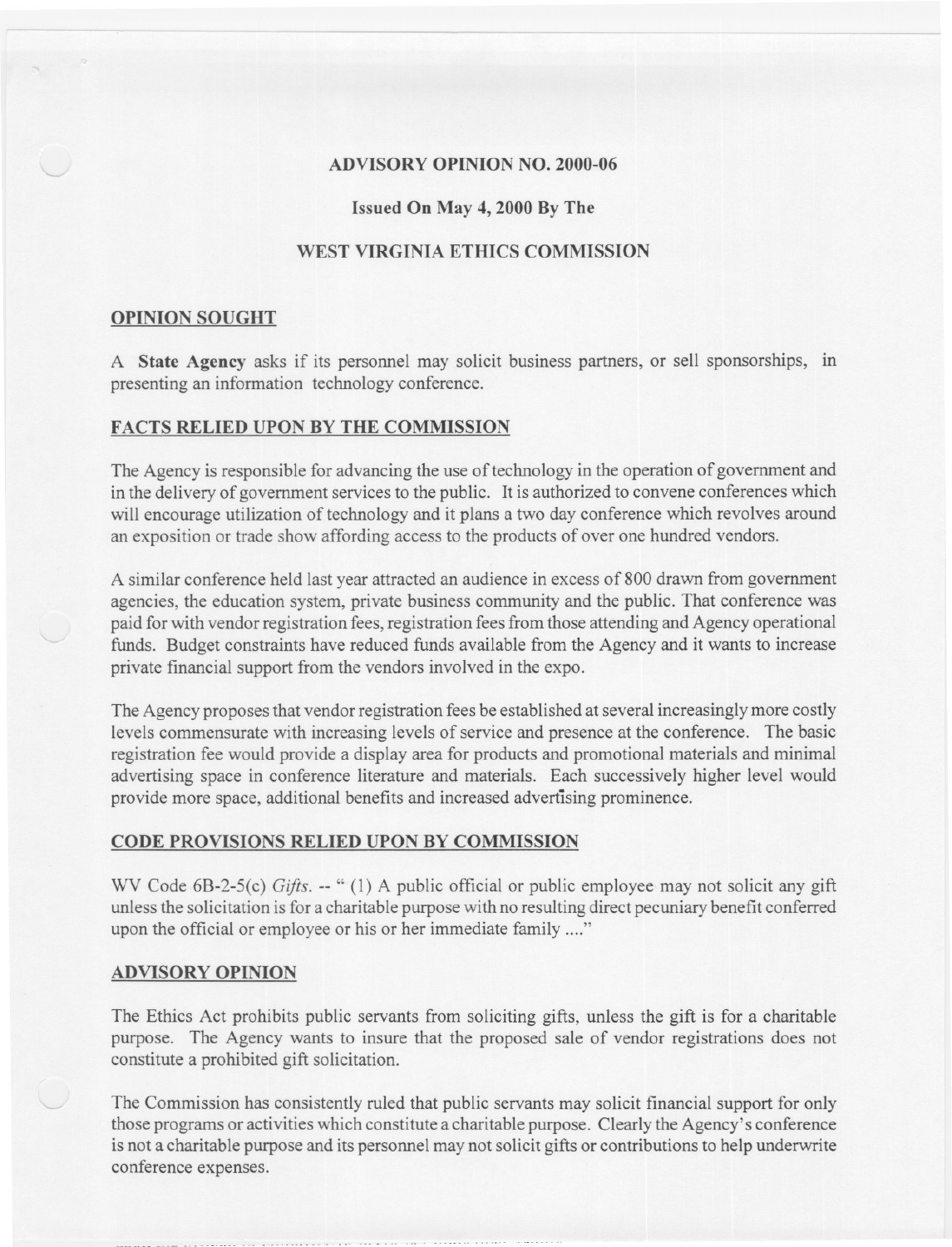#### ADVISORY OPINION NO. 2000-06

### Issued On May 4, 2000 By The

# WEST VIRGINIA ETHICS COMMISSION

#### OPINION SOUGHT

A State Agency asks if its personnel may solicit business partners, or sell sponsorships, in presenting an information technology conference.

## FACTS RELIED UPON BY THE COMMISSION

-- -

The Agency is responsible for advancing the use of technology in the operation of government and in the delivery of government services to the public. It is authorized to convene conferences which will encourage utilization of technology and it plans a two day conference which revolves around an exposition or trade show affording access to the products of over one hundred vendors.

A similar conference held last year attracted an audience in excess of 800 drawn from government agencies, the education system, private business community and the public. That conference was paid for with vendor registration fees, registration fees from those attending and Agency operational funds. Budget constraints have reduced funds available from the Agency and it wants to increase private financial support from the vendors involved in the expo.

The Agency proposes that vendor registration fees be established at several increasingly more costly levels commensurate with increasing levels of service and presence at the conference. The basic registration fee would provide a display area for products and promotional materials and minimal advertising space in conference literature and materials. Each successively higher level would provide more space, additional benefits and increased advertising prominence.

#### CODE PROVISIONS RELIED UPON BY COMMISSION

WV Code 6B-2-5(c) *Gifts.* -- " (1) A public official or public employee may not solicit any gift unlessthe solicitation isfor a charitable purpose with no resulting direct pecuniary benefit conferred upon the official or employee or his or her immediate family ...."

#### ADVISORY OPINION

--- - .-- ". ---- --

The Ethics Act prohibits public servants from soliciting gifts, unless the gift is for a charitable purpose. The Agency wants to insure that the proposed sale of vendor registrations does not constitute a prohibited gift solicitation.

The Commission has consistently ruled that public servants may solicit financial support for only those programs or activities which constitute a charitable purpose. Clearly the Agency's conference is not a charitable purpose and its personnel may not solicit gifts or contributions to help underwrite conference expenses.